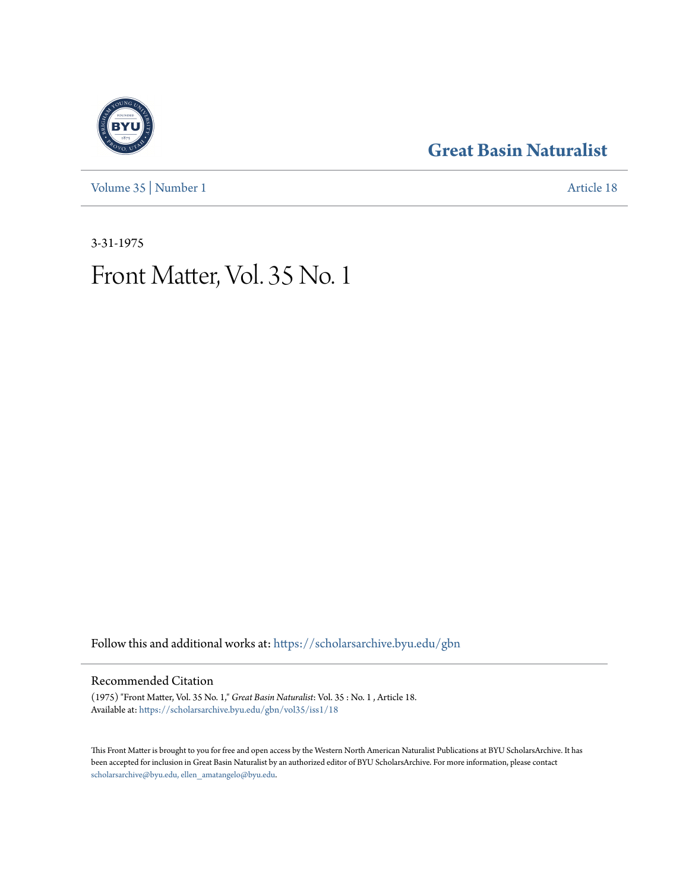[Volume 35](https://scholarsarchive.byu.edu/gbn/vol35?utm_source=scholarsarchive.byu.edu%2Fgbn%2Fvol35%2Fiss1%2F18&utm_medium=PDF&utm_campaign=PDFCoverPages) | [Number 1](https://scholarsarchive.byu.edu/gbn/vol35/iss1?utm_source=scholarsarchive.byu.edu%2Fgbn%2Fvol35%2Fiss1%2F18&utm_medium=PDF&utm_campaign=PDFCoverPages) [Article 18](https://scholarsarchive.byu.edu/gbn/vol35/iss1/18?utm_source=scholarsarchive.byu.edu%2Fgbn%2Fvol35%2Fiss1%2F18&utm_medium=PDF&utm_campaign=PDFCoverPages)

### **[Great Basin Naturalist](https://scholarsarchive.byu.edu/gbn?utm_source=scholarsarchive.byu.edu%2Fgbn%2Fvol35%2Fiss1%2F18&utm_medium=PDF&utm_campaign=PDFCoverPages)**

3-31-1975

## Front Matter, Vol. 35 No. 1

Follow this and additional works at: [https://scholarsarchive.byu.edu/gbn](https://scholarsarchive.byu.edu/gbn?utm_source=scholarsarchive.byu.edu%2Fgbn%2Fvol35%2Fiss1%2F18&utm_medium=PDF&utm_campaign=PDFCoverPages)

#### Recommended Citation

(1975) "Front Matter, Vol. 35 No. 1," *Great Basin Naturalist*: Vol. 35 : No. 1 , Article 18. Available at: [https://scholarsarchive.byu.edu/gbn/vol35/iss1/18](https://scholarsarchive.byu.edu/gbn/vol35/iss1/18?utm_source=scholarsarchive.byu.edu%2Fgbn%2Fvol35%2Fiss1%2F18&utm_medium=PDF&utm_campaign=PDFCoverPages)

This Front Matter is brought to you for free and open access by the Western North American Naturalist Publications at BYU ScholarsArchive. It has been accepted for inclusion in Great Basin Naturalist by an authorized editor of BYU ScholarsArchive. For more information, please contact [scholarsarchive@byu.edu, ellen\\_amatangelo@byu.edu.](mailto:scholarsarchive@byu.edu,%20ellen_amatangelo@byu.edu)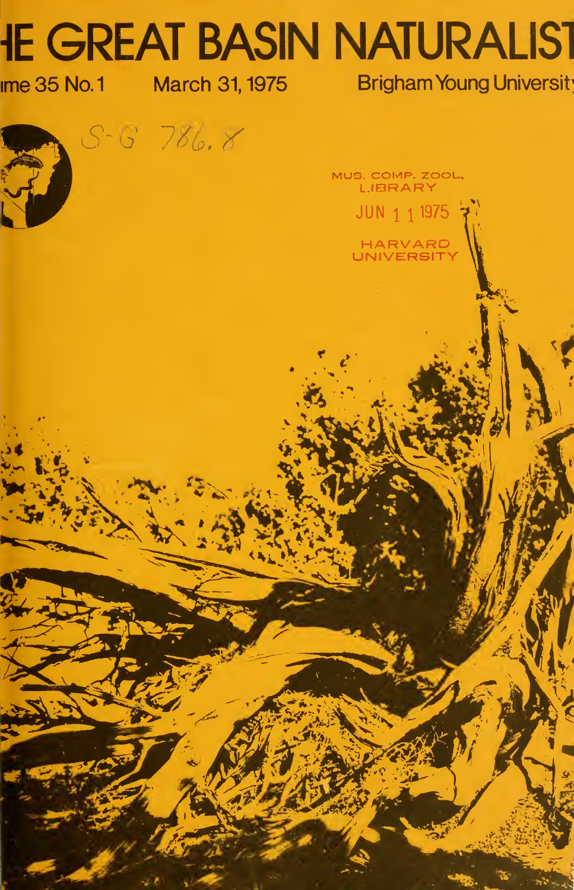# **IE GREAT BASIN NATURALIST**

Ime 35 No.1 March 31, 1975 Brigham Young Universit

 $\overline{A}$ 

 $S - G$  786.8

MUS. COMP. ZOOL. LIBRARY

> JUN 1 1 1975 HARVARD<br>UNIVERSITY